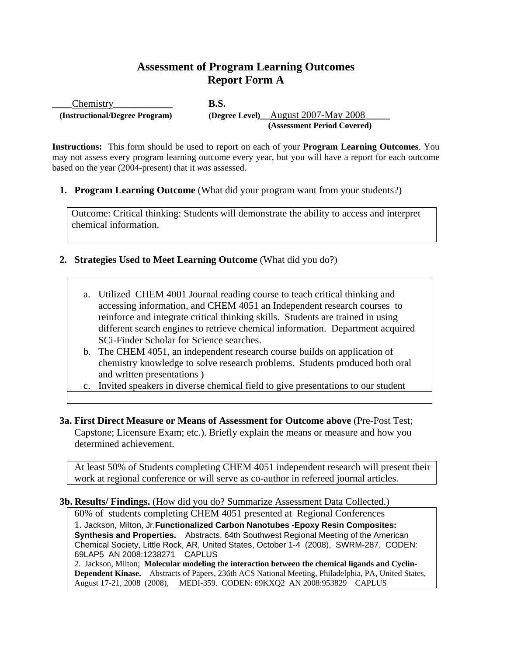# **Assessment of Program Learning Outcomes Report Form A**

Chemistry **B.S. (Instructional/Degree Program)** (Degree Level) August 2007-May 2008  **(Assessment Period Covered)** 

**Instructions:** This form should be used to report on each of your **Program Learning Outcomes**. You may not assess every program learning outcome every year, but you will have a report for each outcome based on the year (2004-present) that it *was* assessed.

**1. Program Learning Outcome** (What did your program want from your students?)

Outcome: Critical thinking: Students will demonstrate the ability to access and interpret chemical information.

## **2. Strategies Used to Meet Learning Outcome** (What did you do?)

- a. Utilized CHEM 4001 Journal reading course to teach critical thinking and accessing information, and CHEM 4051 an Independent research courses to reinforce and integrate critical thinking skills. Students are trained in using different search engines to retrieve chemical information. Department acquired SCi-Finder Scholar for Science searches.
- b. The CHEM 4051, an independent research course builds on application of chemistry knowledge to solve research problems. Students produced both oral and written presentations )
- c. Invited speakers in diverse chemical field to give presentations to our student
- **3a. First Direct Measure or Means of Assessment for Outcome above** (Pre-Post Test; Capstone; Licensure Exam; etc.). Briefly explain the means or measure and how you determined achievement.

At least 50% of Students completing CHEM 4051 independent research will present their work at regional conference or will serve as co-author in refereed journal articles.

#### **3b. Results/ Findings.** (How did you do? Summarize Assessment Data Collected.)

60% of students completing CHEM 4051 presented at Regional Conferences 1. Jackson, Milton, Jr.**Functionalized Carbon Nanotubes -Epoxy Resin Composites: Synthesis and Properties.** Abstracts, 64th Southwest Regional Meeting of the American Chemical Society, Little Rock, AR, United States, October 1-4 (2008), SWRM-287. CODEN: 69LAP5 AN 2008:1238271 CAPLUS

2. Jackson, Milton; **Molecular modeling the interaction between the chemical ligands and Cyclin-Dependent Kinase.** Abstracts of Papers, 236th ACS National Meeting, Philadelphia, PA, United States, August 17-21, 2008 (2008), MEDI-359. CODEN: 69KXQ2 AN 2008:953829 CAPLUS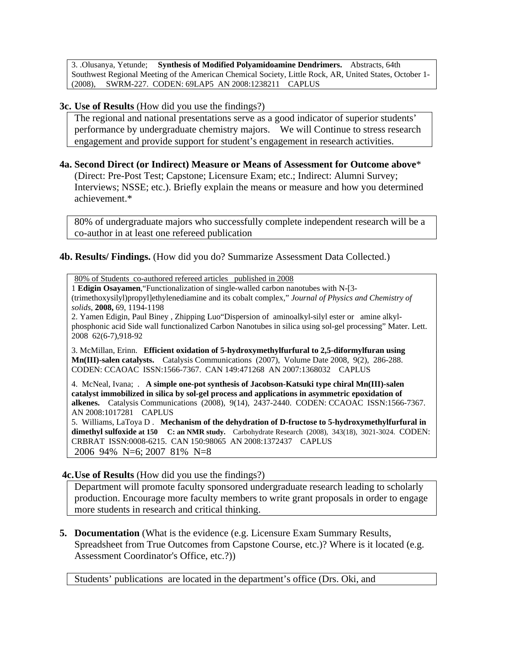3. .Olusanya, Yetunde; **Synthesis of Modified Polyamidoamine Dendrimers.** Abstracts, 64th Southwest Regional Meeting of the American Chemical Society, Little Rock, AR, United States, October 1- (2008), SWRM-227. CODEN: 69LAP5 AN 2008:1238211 CAPLUS

#### **3c. Use of Results** (How did you use the findings?)

The regional and national presentations serve as a good indicator of superior students' performance by undergraduate chemistry majors. We will Continue to stress research engagement and provide support for student's engagement in research activities.

#### **4a. Second Direct (or Indirect) Measure or Means of Assessment for Outcome above**\*

 (Direct: Pre-Post Test; Capstone; Licensure Exam; etc.; Indirect: Alumni Survey; Interviews; NSSE; etc.). Briefly explain the means or measure and how you determined achievement.\*

80% of undergraduate majors who successfully complete independent research will be a co-author in at least one refereed publication

### **4b. Results/ Findings.** (How did you do? Summarize Assessment Data Collected.)

80% of Students co-authored refereed articles published in 2008

1 **Edigin Osayamen**,"Functionalization of single-walled carbon nanotubes with N-[3- (trimethoxysilyl)propyl]ethylenediamine and its cobalt complex," *Journal of Physics and Chemistry of solids,* **2008,** 69, 1194-1198

2. Yamen Edigin, Paul Biney , Zhipping Luo"Dispersion of aminoalkyl-silyl ester or amine alkylphosphonic acid Side wall functionalized Carbon Nanotubes in silica using sol-gel processing" Mater. Lett. 2008 62(6-7),918-92

3. McMillan, Erinn. **Efficient oxidation of 5-hydroxymethylfurfural to 2,5-diformylfuran using Mn(III)-salen catalysts.** Catalysis Communications (2007), Volume Date 2008, 9(2), 286-288. CODEN: CCAOAC ISSN:1566-7367. CAN 149:471268 AN 2007:1368032 CAPLUS

4. McNeal, Ivana; . **A simple one-pot synthesis of Jacobson-Katsuki type chiral Mn(III)-salen catalyst immobilized in silica by sol-gel process and applications in asymmetric epoxidation of alkenes.** Catalysis Communications (2008), 9(14), 2437-2440. CODEN: CCAOAC ISSN:1566-7367. AN 2008:1017281 CAPLUS

5. Williams, LaToya D . **Mechanism of the dehydration of D-fructose to 5-hydroxymethylfurfural in dimethyl sulfoxide at 150 C: an NMR study.** Carbohydrate Research (2008), 343(18), 3021-3024. CODEN: CRBRAT ISSN:0008-6215. CAN 150:98065 AN 2008:1372437 CAPLUS 2006 94% N=6; 2007 81% N=8

#### **4c. Use of Results** (How did you use the findings?)

Department will promote faculty sponsored undergraduate research leading to scholarly production. Encourage more faculty members to write grant proposals in order to engage more students in research and critical thinking.

**5. Documentation** (What is the evidence (e.g. Licensure Exam Summary Results, Spreadsheet from True Outcomes from Capstone Course, etc.)? Where is it located (e.g. Assessment Coordinator's Office, etc.?))

Students' publications are located in the department's office (Drs. Oki, and